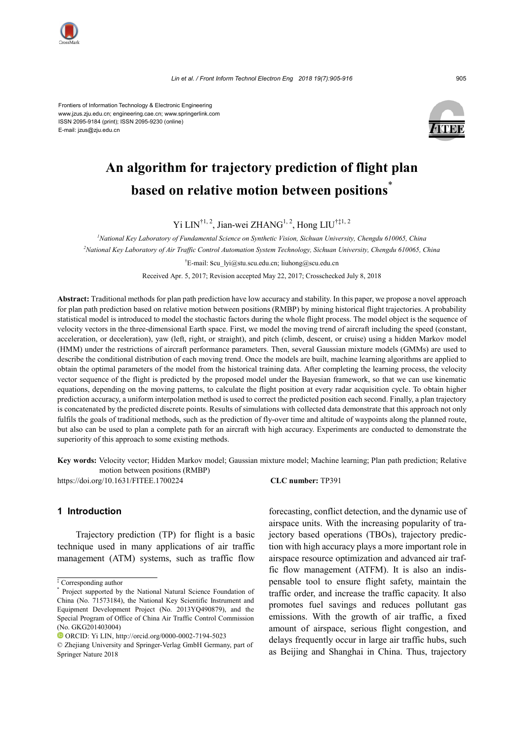

Frontiers of Information Technology & Electronic Engineering www.jzus.zju.edu.cn; engineering.cae.cn; www.springerlink.com ISSN 2095-9184 (print); ISSN 2095-9230 (online) E-mail: jzus@zju.edu.cn



# **An algorithm for trajectory prediction of flight plan based on relative motion between positions** \*

Yi LIN<sup>†1, 2</sup>, Jian-wei ZHANG<sup>1, 2</sup>, Hong LIU<sup>†‡1, 2</sup>

*1 National Key Laboratory of Fundamental Science on Synthetic Vision, Sichuan University, Chengdu 610065, China 2 National Key Laboratory of Air Traffic Control Automation System Technology, Sichuan University, Chengdu 610065, China*

† E-mail: scu\_lyi@stu.scu.edu.cn; liuhong@scu.edu.cn

Received Apr. 5, 2017; Revision accepted May 22, 2017; Crosschecked July 8, 2018

**Abstract:** Traditional methods for plan path prediction have low accuracy and stability. In this paper, we propose a novel approach for plan path prediction based on relative motion between positions (RMBP) by mining historical flight trajectories. A probability statistical model is introduced to model the stochastic factors during the whole flight process. The model object is the sequence of velocity vectors in the three-dimensional Earth space. First, we model the moving trend of aircraft including the speed (constant, acceleration, or deceleration), yaw (left, right, or straight), and pitch (climb, descent, or cruise) using a hidden Markov model (HMM) under the restrictions of aircraft performance parameters. Then, several Gaussian mixture models (GMMs) are used to describe the conditional distribution of each moving trend. Once the models are built, machine learning algorithms are applied to obtain the optimal parameters of the model from the historical training data. After completing the learning process, the velocity vector sequence of the flight is predicted by the proposed model under the Bayesian framework, so that we can use kinematic equations, depending on the moving patterns, to calculate the flight position at every radar acquisition cycle. To obtain higher prediction accuracy, a uniform interpolation method is used to correct the predicted position each second. Finally, a plan trajectory is concatenated by the predicted discrete points. Results of simulations with collected data demonstrate that this approach not only fulfils the goals of traditional methods, such as the prediction of fly-over time and altitude of waypoints along the planned route, but also can be used to plan a complete path for an aircraft with high accuracy. Experiments are conducted to demonstrate the superiority of this approach to some existing methods.

**Key words:** Velocity vector; Hidden Markov model; Gaussian mixture model; Machine learning; Plan path prediction; Relative motion between positions (RMBP)

https://doi.org/10.1631/FITEE.1700224 **CLC number:** TP391

# **1 Introduction**

Trajectory prediction (TP) for flight is a basic technique used in many applications of air traffic management (ATM) systems, such as traffic flow

forecasting, conflict detection, and the dynamic use of airspace units. With the increasing popularity of trajectory based operations (TBOs), trajectory prediction with high accuracy plays a more important role in airspace resource optimization and advanced air traffic flow management (ATFM). It is also an indispensable tool to ensure flight safety, maintain the traffic order, and increase the traffic capacity. It also promotes fuel savings and reduces pollutant gas emissions. With the growth of air traffic, a fixed amount of airspace, serious flight congestion, and delays frequently occur in large air traffic hubs, such as Beijing and Shanghai in China. Thus, trajectory

<sup>‡</sup> Corresponding author

<sup>\*</sup> Project supported by the National Natural Science Foundation of China (No. 71573184), the National Key Scientific Instrument and Equipment Development Project (No. 2013YQ490879), and the Special Program of Office of China Air Traffic Control Commission (No. GKG201403004)

ORCID: Yi LIN, http://orcid.org/0000-0002-7194-5023

<sup>©</sup> Zhejiang University and Springer-Verlag GmbH Germany, part of Springer Nature 2018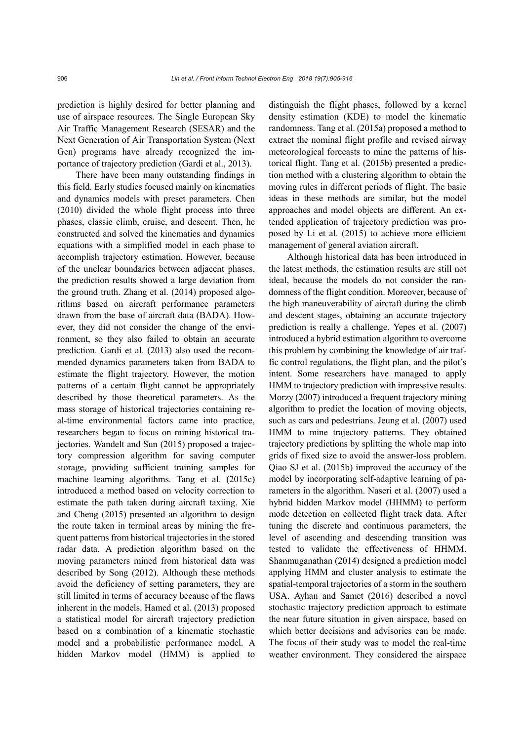prediction is highly desired for better planning and use of airspace resources. The Single European Sky Air Traffic Management Research (SESAR) and the Next Generation of Air Transportation System (Next Gen) programs have already recognized the importance of trajectory prediction (Gardi et al., 2013).

There have been many outstanding findings in this field. Early studies focused mainly on kinematics and dynamics models with preset parameters. Chen (2010) divided the whole flight process into three phases, classic climb, cruise, and descent. Then, he constructed and solved the kinematics and dynamics equations with a simplified model in each phase to accomplish trajectory estimation. However, because of the unclear boundaries between adjacent phases, the prediction results showed a large deviation from the ground truth. Zhang et al. (2014) proposed algorithms based on aircraft performance parameters drawn from the base of aircraft data (BADA). However, they did not consider the change of the environment, so they also failed to obtain an accurate prediction. Gardi et al. (2013) also used the recommended dynamics parameters taken from BADA to estimate the flight trajectory. However, the motion patterns of a certain flight cannot be appropriately described by those theoretical parameters. As the mass storage of historical trajectories containing real-time environmental factors came into practice, researchers began to focus on mining historical trajectories. Wandelt and Sun (2015) proposed a trajectory compression algorithm for saving computer storage, providing sufficient training samples for machine learning algorithms. Tang et al. (2015c) introduced a method based on velocity correction to estimate the path taken during aircraft taxiing. Xie and Cheng (2015) presented an algorithm to design the route taken in terminal areas by mining the frequent patterns from historical trajectories in the stored radar data. A prediction algorithm based on the moving parameters mined from historical data was described by Song (2012). Although these methods avoid the deficiency of setting parameters, they are still limited in terms of accuracy because of the flaws inherent in the models. Hamed et al. (2013) proposed a statistical model for aircraft trajectory prediction based on a combination of a kinematic stochastic model and a probabilistic performance model. A hidden Markov model (HMM) is applied to

distinguish the flight phases, followed by a kernel density estimation (KDE) to model the kinematic randomness. Tang et al. (2015a) proposed a method to extract the nominal flight profile and revised airway meteorological forecasts to mine the patterns of historical flight. Tang et al. (2015b) presented a prediction method with a clustering algorithm to obtain the moving rules in different periods of flight. The basic ideas in these methods are similar, but the model approaches and model objects are different. An extended application of trajectory prediction was proposed by Li et al. (2015) to achieve more efficient management of general aviation aircraft.

Although historical data has been introduced in the latest methods, the estimation results are still not ideal, because the models do not consider the randomness of the flight condition. Moreover, because of the high maneuverability of aircraft during the climb and descent stages, obtaining an accurate trajectory prediction is really a challenge. Yepes et al. (2007) introduced a hybrid estimation algorithm to overcome this problem by combining the knowledge of air traffic control regulations, the flight plan, and the pilot's intent. Some researchers have managed to apply HMM to trajectory prediction with impressive results. Morzy (2007) introduced a frequent trajectory mining algorithm to predict the location of moving objects, such as cars and pedestrians. Jeung et al. (2007) used HMM to mine trajectory patterns. They obtained trajectory predictions by splitting the whole map into grids of fixed size to avoid the answer-loss problem. Qiao SJ et al. (2015b) improved the accuracy of the model by incorporating self-adaptive learning of parameters in the algorithm. Naseri et al. (2007) used a hybrid hidden Markov model (HHMM) to perform mode detection on collected flight track data. After tuning the discrete and continuous parameters, the level of ascending and descending transition was tested to validate the effectiveness of HHMM. Shanmuganathan (2014) designed a prediction model applying HMM and cluster analysis to estimate the spatial-temporal trajectories of a storm in the southern USA. Ayhan and Samet (2016) described a novel stochastic trajectory prediction approach to estimate the near future situation in given airspace, based on which better decisions and advisories can be made. The focus of their study was to model the real-time weather environment. They considered the airspace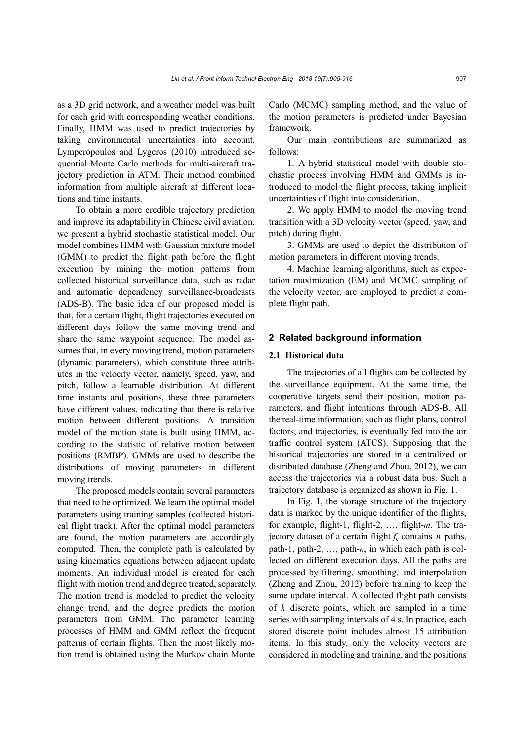as a 3D grid network, and a weather model was built for each grid with corresponding weather conditions. Finally, HMM was used to predict trajectories by taking environmental uncertainties into account. Lymperopoulos and Lygeros (2010) introduced sequential Monte Carlo methods for multi-aircraft trajectory prediction in ATM. Their method combined information from multiple aircraft at different locations and time instants.

To obtain a more credible trajectory prediction and improve its adaptability in Chinese civil aviation, we present a hybrid stochastic statistical model. Our model combines HMM with Gaussian mixture model (GMM) to predict the flight path before the flight execution by mining the motion patterns from collected historical surveillance data, such as radar and automatic dependency surveillance-broadcasts (ADS-B). The basic idea of our proposed model is that, for a certain flight, flight trajectories executed on different days follow the same moving trend and share the same waypoint sequence. The model assumes that, in every moving trend, motion parameters (dynamic parameters), which constitute three attributes in the velocity vector, namely, speed, yaw, and pitch, follow a learnable distribution. At different time instants and positions, these three parameters have different values, indicating that there is relative motion between different positions. A transition model of the motion state is built using HMM, according to the statistic of relative motion between positions (RMBP). GMMs are used to describe the distributions of moving parameters in different moving trends.

The proposed models contain several parameters that need to be optimized. We learn the optimal model parameters using training samples (collected historical flight track). After the optimal model parameters are found, the motion parameters are accordingly computed. Then, the complete path is calculated by using kinematics equations between adjacent update moments. An individual model is created for each flight with motion trend and degree treated, separately. The motion trend is modeled to predict the velocity change trend, and the degree predicts the motion parameters from GMM. The parameter learning processes of HMM and GMM reflect the frequent patterns of certain flights. Then the most likely motion trend is obtained using the Markov chain Monte

Carlo (MCMC) sampling method, and the value of the motion parameters is predicted under Bayesian framework.

Our main contributions are summarized as follows:

1. A hybrid statistical model with double stochastic process involving HMM and GMMs is introduced to model the flight process, taking implicit uncertainties of flight into consideration.

2. We apply HMM to model the moving trend transition with a 3D velocity vector (speed, yaw, and pitch) during flight.

3. GMMs are used to depict the distribution of motion parameters in different moving trends.

4. Machine learning algorithms, such as expectation maximization (EM) and MCMC sampling of the velocity vector, are employed to predict a complete flight path.

#### **2 Related background information**

### **2.1 Historical data**

The trajectories of all flights can be collected by the surveillance equipment. At the same time, the cooperative targets send their position, motion parameters, and flight intentions through ADS-B. All the real-time information, such as flight plans, control factors, and trajectories, is eventually fed into the air traffic control system (ATCS). Supposing that the historical trajectories are stored in a centralized or distributed database (Zheng and Zhou, 2012), we can access the trajectories via a robust data bus. Such a trajectory database is organized as shown in Fig. 1.

In Fig. 1, the storage structure of the trajectory data is marked by the unique identifier of the flights, for example, flight-1, flight-2, …, flight-*m*. The trajectory dataset of a certain flight  $f_c$  contains  $n$  paths, path-1, path-2, …, path-*n*, in which each path is collected on different execution days. All the paths are processed by filtering, smoothing, and interpolation (Zheng and Zhou, 2012) before training to keep the same update interval. A collected flight path consists of *k* discrete points, which are sampled in a time series with sampling intervals of 4 s. In practice, each stored discrete point includes almost 15 attribution items. In this study, only the velocity vectors are considered in modeling and training, and the positions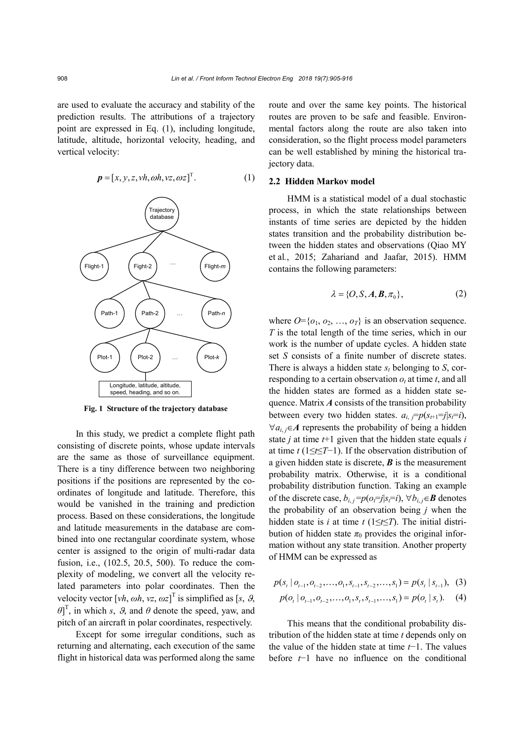are used to evaluate the accuracy and stability of the prediction results. The attributions of a trajectory point are expressed in Eq. (1), including longitude, latitude, altitude, horizontal velocity, heading, and vertical velocity:

$$
\boldsymbol{p} = [x, y, z, vh, \omega h, vz, \omega z]^{\mathrm{T}}. \tag{1}
$$



**Fig. 1 Structure of the trajectory database**

In this study, we predict a complete flight path consisting of discrete points, whose update intervals are the same as those of surveillance equipment. There is a tiny difference between two neighboring positions if the positions are represented by the coordinates of longitude and latitude. Therefore, this would be vanished in the training and prediction process. Based on these considerations, the longitude and latitude measurements in the database are combined into one rectangular coordinate system, whose center is assigned to the origin of multi-radar data fusion, i.e., (102.5, 20.5, 500). To reduce the complexity of modeling, we convert all the velocity related parameters into polar coordinates. Then the velocity vector  $[vh, \omega h, vz, \omega z]^T$  is simplified as [*s*,  $\vartheta$ ,  $\theta$ <sup>T</sup>, in which *s*, *θ*, and  $\theta$  denote the speed, yaw, and pitch of an aircraft in polar coordinates, respectively.

Except for some irregular conditions, such as returning and alternating, each execution of the same flight in historical data was performed along the same route and over the same key points. The historical routes are proven to be safe and feasible. Environmental factors along the route are also taken into consideration, so the flight process model parameters can be well established by mining the historical trajectory data.

# **2.2 Hidden Markov model**

HMM is a statistical model of a dual stochastic process, in which the state relationships between instants of time series are depicted by the hidden states transition and the probability distribution between the hidden states and observations (Qiao MY et al*.*, 2015; Zahariand and Jaafar, 2015). HMM contains the following parameters:

$$
\lambda = \{O, S, A, B, \pi_0\},\tag{2}
$$

where  $O = \{o_1, o_2, ..., o_T\}$  is an observation sequence. *T* is the total length of the time series, which in our work is the number of update cycles. A hidden state set *S* consists of a finite number of discrete states. There is always a hidden state  $s_t$  belonging to *S*, corresponding to a certain observation  $o_t$  at time *t*, and all the hidden states are formed as a hidden state sequence. Matrix *A* consists of the transition probability between every two hidden states.  $a_{i}$   $\neq$   $p(s_{t+1} = j | s_t = i)$ ,  $∀a<sub>i,j</sub>∈A$  represents the probability of being a hidden state *j* at time *t*+1 given that the hidden state equals *i* at time *t* (1≤*t*≤*T*−1). If the observation distribution of a given hidden state is discrete, *B* is the measurement probability matrix. Otherwise, it is a conditional probability distribution function. Taking an example of the discrete case,  $b_{i,j} = p(o_i = j | s_i = i)$ ,  $\forall b_{i,j} \in \mathbf{B}$  denotes the probability of an observation being *j* when the hidden state is *i* at time *t* (1≤*t*≤*T*). The initial distribution of hidden state  $\pi_0$  provides the original information without any state transition. Another property of HMM can be expressed as

$$
p(s_i | o_{t-1}, o_{t-2}, \dots, o_1, s_{t-1}, s_{t-2}, \dots, s_1) = p(s_i | s_{t-1}), \quad (3)
$$
  

$$
p(o_t | o_{t-1}, o_{t-2}, \dots, o_1, s_t, s_{t-1}, \dots, s_1) = p(o_t | s_t). \quad (4)
$$

This means that the conditional probability distribution of the hidden state at time *t* depends only on the value of the hidden state at time *t*−1. The values before *t*−1 have no influence on the conditional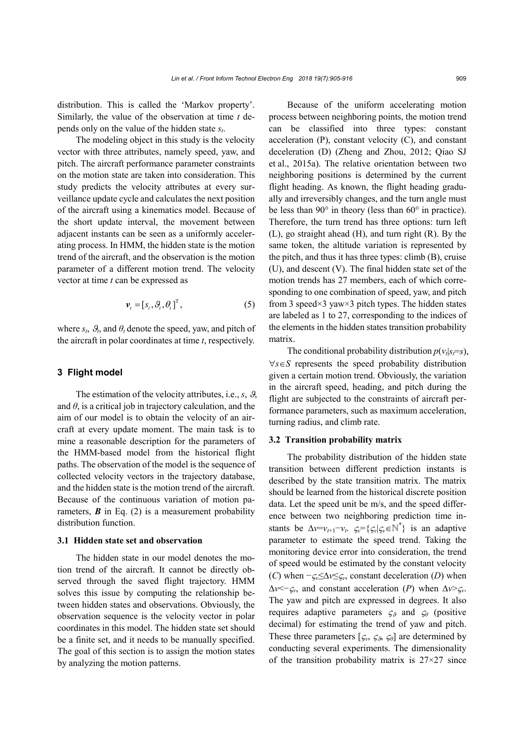distribution. This is called the 'Markov property'. Similarly, the value of the observation at time *t* depends only on the value of the hidden state *st*.

The modeling object in this study is the velocity vector with three attributes, namely speed, yaw, and pitch. The aircraft performance parameter constraints on the motion state are taken into consideration. This study predicts the velocity attributes at every surveillance update cycle and calculates the next position of the aircraft using a kinematics model. Because of the short update interval, the movement between adjacent instants can be seen as a uniformly accelerating process. In HMM, the hidden state is the motion trend of the aircraft, and the observation is the motion parameter of a different motion trend. The velocity vector at time *t* can be expressed as

$$
\boldsymbol{v}_{t} = [s_{t}, \theta_{t}, \theta_{t}]^{\mathrm{T}}, \tag{5}
$$

where  $s_t$ ,  $\theta_t$ , and  $\theta_t$  denote the speed, yaw, and pitch of the aircraft in polar coordinates at time *t*, respectively.

# **3 Flight model**

The estimation of the velocity attributes, i.e., *s*, ϑ, and  $\theta$ , is a critical job in trajectory calculation, and the aim of our model is to obtain the velocity of an aircraft at every update moment. The main task is to mine a reasonable description for the parameters of the HMM-based model from the historical flight paths. The observation of the model is the sequence of collected velocity vectors in the trajectory database, and the hidden state is the motion trend of the aircraft. Because of the continuous variation of motion parameters,  $\boldsymbol{B}$  in Eq. (2) is a measurement probability distribution function.

#### **3.1 Hidden state set and observation**

The hidden state in our model denotes the motion trend of the aircraft. It cannot be directly observed through the saved flight trajectory. HMM solves this issue by computing the relationship between hidden states and observations. Obviously, the observation sequence is the velocity vector in polar coordinates in this model. The hidden state set should be a finite set, and it needs to be manually specified. The goal of this section is to assign the motion states by analyzing the motion patterns.

Because of the uniform accelerating motion process between neighboring points, the motion trend can be classified into three types: constant acceleration  $(P)$ , constant velocity  $(C)$ , and constant deceleration (D) (Zheng and Zhou, 2012; Qiao SJ et al., 2015a). The relative orientation between two neighboring positions is determined by the current flight heading. As known, the flight heading gradually and irreversibly changes, and the turn angle must be less than 90° in theory (less than 60° in practice). Therefore, the turn trend has three options: turn left (L), go straight ahead (H), and turn right (R). By the same token, the altitude variation is represented by the pitch, and thus it has three types: climb (B), cruise (U), and descent (V). The final hidden state set of the motion trends has 27 members, each of which corresponding to one combination of speed, yaw, and pitch from 3 speed $\times$ 3 yaw $\times$ 3 pitch types. The hidden states are labeled as 1 to 27, corresponding to the indices of the elements in the hidden states transition probability matrix.

The conditional probability distribution  $p(v_t|s_t=s)$ , ∀*s*∈*S* represents the speed probability distribution given a certain motion trend. Obviously, the variation in the aircraft speed, heading, and pitch during the flight are subjected to the constraints of aircraft performance parameters, such as maximum acceleration, turning radius, and climb rate.

# **3.2 Transition probability matrix**

The probability distribution of the hidden state transition between different prediction instants is described by the state transition matrix. The matrix should be learned from the historical discrete position data. Let the speed unit be m/s, and the speed difference between two neighboring prediction time instants be  $\Delta v = v_{t+1} - v_t$ .  $\varsigma_v = {\varsigma_v | \varsigma_v \in \mathbb{N}^* }$  is an adaptive parameter to estimate the speed trend. Taking the monitoring device error into consideration, the trend of speed would be estimated by the constant velocity (*C*) when −<sup>ς</sup>*v*≤∆*v*≤<sup>ς</sup>*v*, constant deceleration (*D*) when ∆*v*<−<sup>ς</sup>*v*, and constant acceleration (*P*) when ∆*v*><sup>ς</sup>*v*. The yaw and pitch are expressed in degrees. It also requires adaptive parameters  $\zeta_g$  and  $\zeta_\theta$  (positive decimal) for estimating the trend of yaw and pitch. These three parameters  $[\zeta_v, \zeta_v, \zeta_v]$  are determined by conducting several experiments. The dimensionality of the transition probability matrix is  $27 \times 27$  since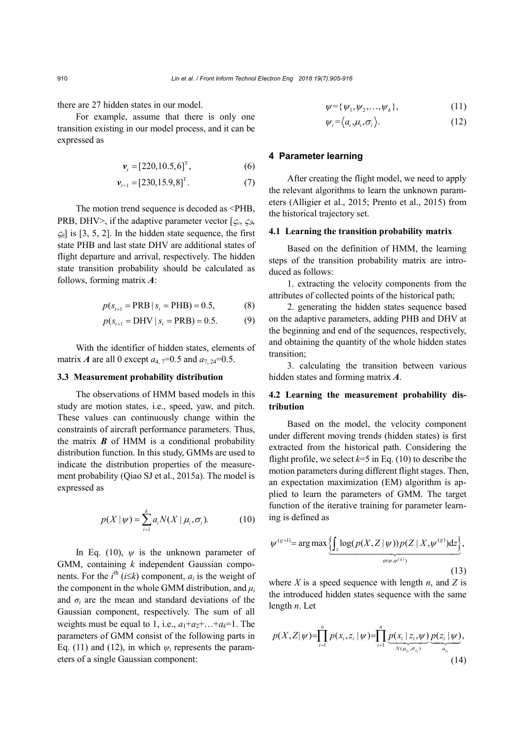there are 27 hidden states in our model.

For example, assume that there is only one transition existing in our model process, and it can be expressed as

$$
\boldsymbol{v}_{t} = [220, 10.5, 6]^{T}, \tag{6}
$$

$$
\mathbf{v}_{t+1} = [230, 15.9, 8]^{T}.
$$
 (7)

The motion trend sequence is decoded as <PHB, PRB, DHV>, if the adaptive parameter vector  $[\zeta_v, \zeta_v, \zeta_v]$ <sup>ς</sup>*θ*] is [3, 5, 2]. In the hidden state sequence, the first state PHB and last state DHV are additional states of flight departure and arrival, respectively. The hidden state transition probability should be calculated as follows, forming matrix *A*:

$$
p(s_{t+1} = \text{PRB} \mid s_t = \text{PHB}) = 0.5, \tag{8}
$$

$$
p(s_{t+1} = \text{DHV} \mid s_t = \text{PRB}) = 0.5. \tag{9}
$$

With the identifier of hidden states, elements of matrix *A* are all 0 except  $a_{4, 7} = 0.5$  and  $a_{7, 24} = 0.5$ .

#### **3.3 Measurement probability distribution**

The observations of HMM based models in this study are motion states, i.e., speed, yaw, and pitch. These values can continuously change within the constraints of aircraft performance parameters. Thus, the matrix  $\bm{B}$  of HMM is a conditional probability distribution function. In this study, GMMs are used to indicate the distribution properties of the measurement probability (Qiao SJ et al., 2015a). The model is expressed as

$$
p(X | \psi) = \sum_{i=1}^{k} a_i N(X | \mu_i, \sigma_i).
$$
 (10)

In Eq. (10),  $\psi$  is the unknown parameter of GMM, containing *k* independent Gaussian components. For the  $i^{\text{th}}$  (*i* ≤*k*) component,  $a_i$  is the weight of the component in the whole GMM distribution, and *μ<sup>i</sup>* and  $\sigma_i$  are the mean and standard deviations of the Gaussian component, respectively. The sum of all weights must be equal to 1, i.e.,  $a_1+a_2+\ldots+a_k=1$ . The parameters of GMM consist of the following parts in Eq. (11) and (12), in which  $\psi_i$  represents the parameters of a single Gaussian component:

$$
\psi = \{ \psi_1, \psi_2, \dots, \psi_k \},\tag{11}
$$

$$
\psi_i = \langle a_i, \mu_i, \sigma_i \rangle. \tag{12}
$$

#### **4 Parameter learning**

After creating the flight model, we need to apply the relevant algorithms to learn the unknown parameters (Alligier et al., 2015; Prento et al., 2015) from the historical trajectory set.

#### **4.1 Learning the transition probability matrix**

Based on the definition of HMM, the learning steps of the transition probability matrix are introduced as follows:

1. extracting the velocity components from the attributes of collected points of the historical path;

2. generating the hidden states sequence based on the adaptive parameters, adding PHB and DHV at the beginning and end of the sequences, respectively, and obtaining the quantity of the whole hidden states transition;

3. calculating the transition between various hidden states and forming matrix *A*.

# **4.2 Learning the measurement probability distribution**

Based on the model, the velocity component under different moving trends (hidden states) is first extracted from the historical path. Considering the flight profile, we select  $k=5$  in Eq. (10) to describe the motion parameters during different flight stages. Then, an expectation maximization (EM) algorithm is applied to learn the parameters of GMM. The target function of the iterative training for parameter learning is defined as

$$
\psi^{(g+1)} = \arg \max \left\{ \int_{z} \log(p(X, Z \mid \psi)) p(Z \mid X, \psi^{(g)}) \, dz \right\},\tag{13}
$$

where *X* is a speed sequence with length *n*, and *Z* is the introduced hidden states sequence with the same length *n*. Let

$$
p(X, Z | \psi) = \prod_{i=1}^{n} p(x_i, z_i | \psi) = \prod_{i=1}^{n} \underbrace{p(x_i | z_i, \psi)}_{N(\mu_{z_i}, \sigma_{z_i})} \underbrace{p(z_i | \psi)}_{a_{z_i}},
$$
\n(14)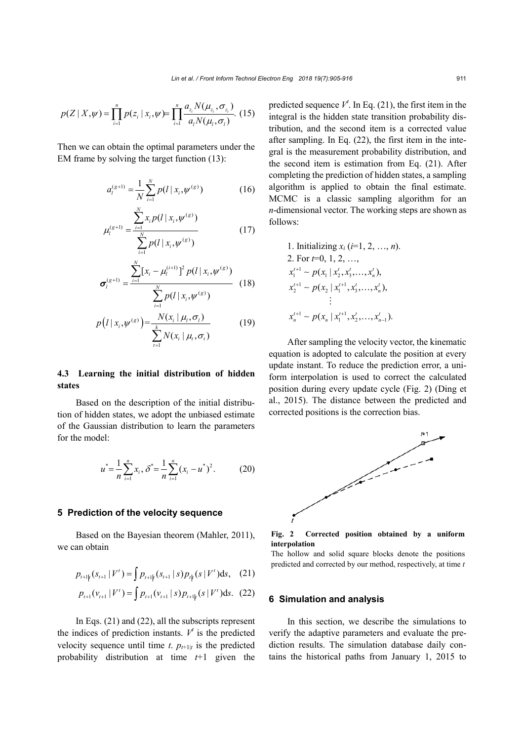$$
p(Z \mid X, \psi) = \prod_{i=1}^{n} p(z_i \mid x_i, \psi) = \prod_{i=1}^{n} \frac{a_{z_i} N(\mu_{z_i}, \sigma_{z_i})}{a_i N(\mu_i, \sigma_i)}.
$$
 (15)

Then we can obtain the optimal parameters under the EM frame by solving the target function (13):

$$
a_l^{(g+1)} = \frac{1}{N} \sum_{i=1}^{N} p(l \mid x_i, \psi^{(g)})
$$
 (16)

$$
\mu_l^{(g+1)} = \frac{\sum_{i=1}^N x_i p(l \mid x_i, \psi^{(g)})}{\sum_{i=1}^N p(l \mid x_i, \psi^{(g)})}
$$
(17)

$$
\sigma_l^{(g+1)} = \frac{\sum_{i=1}^N [x_i - \mu_l^{(i+1)}]^2 p(l | x_i, \psi^{(g)})}{\sum_{i=1}^N p(l | x_i, \psi^{(g)})}
$$
(18)

$$
p(l|x_i, \psi^{(s)}) = \frac{N(x_i | \mu_i, \sigma_i)}{\sum_{t=1}^k N(x_i | \mu_i, \sigma_t)}
$$
(19)

# **4.3 Learning the initial distribution of hidden states**

Based on the description of the initial distribution of hidden states, we adopt the unbiased estimate of the Gaussian distribution to learn the parameters for the model:

$$
u^* = \frac{1}{n} \sum_{i=1}^n x_i, \delta^* = \frac{1}{n} \sum_{i=1}^n (x_i - u^*)^2.
$$
 (20)

#### **5 Prediction of the velocity sequence**

Based on the Bayesian theorem (Mahler, 2011), we can obtain

$$
p_{t+1|t}(s_{t+1} | V^t) = \int p_{t+1|t}(s_{t+1} | s) p_{t|t}(s | V^t) \, ds, \quad (21)
$$

$$
p_{t+1}(v_{t+1} | V^t) = \int p_{t+1}(v_{t+1} | s) p_{t+1|t}(s | V^t) \, \mathrm{d} s. \tag{22}
$$

In Eqs. (21) and (22), all the subscripts represent the indices of prediction instants.  $V^t$  is the predicted velocity sequence until time *t*.  $p_{t+1|t}$  is the predicted probability distribution at time *t*+1 given the

predicted sequence  $V^t$ . In Eq. (21), the first item in the integral is the hidden state transition probability distribution, and the second item is a corrected value after sampling. In Eq. (22), the first item in the integral is the measurement probability distribution, and the second item is estimation from Eq. (21). After completing the prediction of hidden states, a sampling algorithm is applied to obtain the final estimate. MCMC is a classic sampling algorithm for an *n*-dimensional vector. The working steps are shown as follows:

1. Initialization 
$$
x_i
$$
 ( $i=1, 2, ..., n$ ).  
\n2. For  $t=0, 1, 2, ...,$   
\n $x_1^{t+1} \sim p(x_1 | x_2^t, x_3^t, ..., x_n^t),$   
\n $x_2^{t+1} \sim p(x_2 | x_1^{t+1}, x_3^t, ..., x_n^t),$   
\n $\vdots$   
\n $x_n^{t+1} \sim p(x_n | x_1^{t+1}, x_2^t, ..., x_{n-1}^t).$ 

After sampling the velocity vector, the kinematic equation is adopted to calculate the position at every update instant. To reduce the prediction error, a uniform interpolation is used to correct the calculated position during every update cycle (Fig. 2) (Ding et al., 2015). The distance between the predicted and corrected positions is the correction bias.



**Fig. 2 Corrected position obtained by a uniform interpolation**

# **6 Simulation and analysis**

In this section, we describe the simulations to verify the adaptive parameters and evaluate the prediction results. The simulation database daily contains the historical paths from January 1, 2015 to

The hollow and solid square blocks denote the positions predicted and corrected by our method, respectively, at time *t*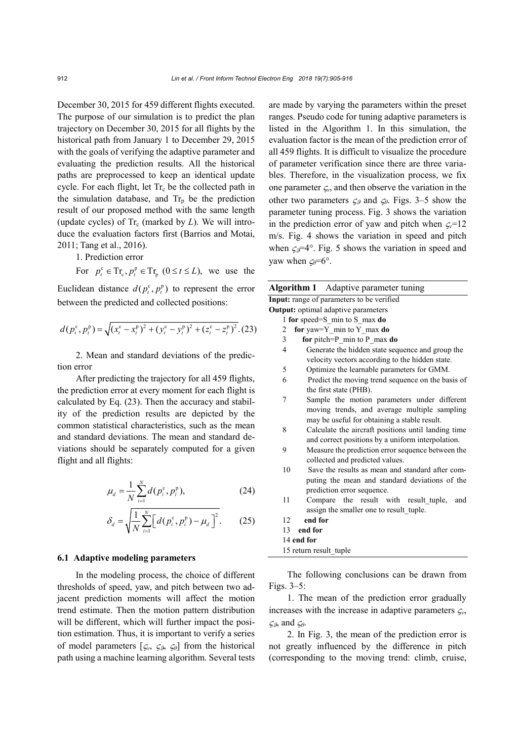December 30, 2015 for 459 different flights executed. The purpose of our simulation is to predict the plan trajectory on December 30, 2015 for all flights by the historical path from January 1 to December 29, 2015 with the goals of verifying the adaptive parameter and evaluating the prediction results. All the historical paths are preprocessed to keep an identical update cycle. For each flight, let  $Tr_c$  be the collected path in the simulation database, and  $Tr<sub>p</sub>$  be the prediction result of our proposed method with the same length (update cycles) of  $Tr_c$  (marked by  $L$ ). We will introduce the evaluation factors first (Barrios and Motai, 2011; Tang et al., 2016).

1. Prediction error

For  $p_t^c \in \text{Tr}_{\mathfrak{e}}, p_t^p \in \text{Tr}_{\mathfrak{p}} (0 \le t \le L)$ , we use the Euclidean distance  $d(p_t^c, p_t^p)$  to represent the error between the predicted and collected positions:

$$
d(p_t^c, p_t^p) = \sqrt{(x_t^c - x_t^p)^2 + (y_t^c - y_t^p)^2 + (z_t^c - z_t^p)^2}.
$$
 (23)

2. Mean and standard deviations of the prediction error

After predicting the trajectory for all 459 flights, the prediction error at every moment for each flight is calculated by Eq. (23). Then the accuracy and stability of the prediction results are depicted by the common statistical characteristics, such as the mean and standard deviations. The mean and standard deviations should be separately computed for a given flight and all flights:

$$
\mu_d = \frac{1}{N} \sum_{i=1}^{N} d(p_i^c, p_i^p),
$$
\n(24)

$$
\delta_d = \sqrt{\frac{1}{N} \sum_{i=1}^{N} \left[ d(p_i^{\rm c}, p_i^{\rm p}) - \mu_d \right]^2}.
$$
 (25)

#### **6.1 Adaptive modeling parameters**

In the modeling process, the choice of different thresholds of speed, yaw, and pitch between two adjacent prediction moments will affect the motion trend estimate. Then the motion pattern distribution will be different, which will further impact the position estimation. Thus, it is important to verify a series of model parameters [<sup>ς</sup>*v*, ςϑ, <sup>ς</sup>*θ*] from the historical path using a machine learning algorithm. Several tests are made by varying the parameters within the preset ranges. Pseudo code for tuning adaptive parameters is listed in the Algorithm 1. In this simulation, the evaluation factor is the mean of the prediction error of all 459 flights. It is difficult to visualize the procedure of parameter verification since there are three variables. Therefore, in the visualization process, we fix one parameter  $\zeta_v$ , and then observe the variation in the other two parameters  $\zeta_g$  and  $\zeta_{\theta}$ . Figs. 3–5 show the parameter tuning process. Fig. 3 shows the variation in the prediction error of yaw and pitch when  $\zeta$ <sup>=12</sup> m/s. Fig. 4 shows the variation in speed and pitch when  $\zeta_s = 4^\circ$ . Fig. 5 shows the variation in speed and yaw when  $\zeta_{\theta} = 6^{\circ}$ .

|                                             | <b>Algorithm 1</b> Adaptive parameter tuning        |  |
|---------------------------------------------|-----------------------------------------------------|--|
| Input: range of parameters to be verified   |                                                     |  |
| <b>Output:</b> optimal adaptive parameters  |                                                     |  |
| 1 for speed=S min to S max do               |                                                     |  |
| 2                                           | for yaw=Y_min to Y_max do                           |  |
| 3                                           | for pitch= $P$ min to $P$ max do                    |  |
| $\overline{4}$                              | Generate the hidden state sequence and group the    |  |
|                                             | velocity vectors according to the hidden state.     |  |
| 5                                           | Optimize the learnable parameters for GMM.          |  |
| 6                                           | Predict the moving trend sequence on the basis of   |  |
|                                             | the first state (PHB).                              |  |
| 7                                           | Sample the motion parameters under different        |  |
|                                             | moving trends, and average multiple sampling        |  |
|                                             | may be useful for obtaining a stable result.        |  |
| 8                                           | Calculate the aircraft positions until landing time |  |
|                                             | and correct positions by a uniform interpolation.   |  |
| 9                                           | Measure the prediction error sequence between the   |  |
|                                             | collected and predicted values.                     |  |
| 10                                          | Save the results as mean and standard after com-    |  |
|                                             | puting the mean and standard deviations of the      |  |
|                                             | prediction error sequence.                          |  |
| 11                                          | Compare the result with result tuple,<br>and        |  |
|                                             | assign the smaller one to result tuple.             |  |
| 12                                          | end for                                             |  |
| end for<br>13                               |                                                     |  |
| 14 end for                                  |                                                     |  |
| 15 return result tuple                      |                                                     |  |
| The following conclusions can be drawn from |                                                     |  |

Figs. 3–5: 1. The mean of the prediction error gradually

increases with the increase in adaptive parameters  $\zeta_v$ , ςϑ, and <sup>ς</sup>*θ*.

2. In Fig. 3, the mean of the prediction error is not greatly influenced by the difference in pitch (corresponding to the moving trend: climb, cruise,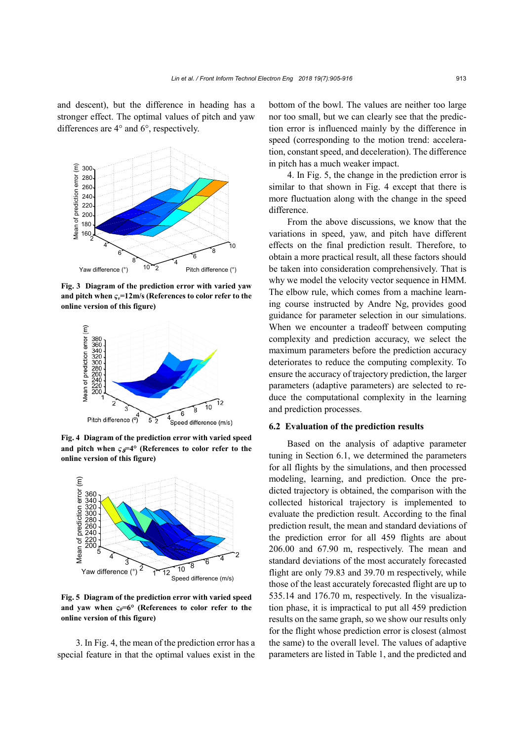and descent), but the difference in heading has a stronger effect. The optimal values of pitch and yaw differences are 4° and 6°, respectively.



**Fig. 3 Diagram of the prediction error with varied yaw and pitch when** *ςv***=12m/s (References to color refer to the online version of this figure)**



**Fig. 4 Diagram of the prediction error with varied speed and pitch when** *ς*ϑ**=4° (References to color refer to the online version of this figure)**



**Fig. 5 Diagram of the prediction error with varied speed**  and yaw when  $\varsigma_{\theta} = 6^{\circ}$  (References to color refer to the **online version of this figure)**

3. In Fig. 4, the mean of the prediction error has a special feature in that the optimal values exist in the bottom of the bowl. The values are neither too large nor too small, but we can clearly see that the prediction error is influenced mainly by the difference in speed (corresponding to the motion trend: acceleration, constant speed, and deceleration). The difference in pitch has a much weaker impact.

4. In Fig. 5, the change in the prediction error is similar to that shown in Fig. 4 except that there is more fluctuation along with the change in the speed difference.

From the above discussions, we know that the variations in speed, yaw, and pitch have different effects on the final prediction result. Therefore, to obtain a more practical result, all these factors should be taken into consideration comprehensively. That is why we model the velocity vector sequence in HMM. The elbow rule, which comes from a machine learning course instructed by Andre Ng, provides good guidance for parameter selection in our simulations. When we encounter a tradeoff between computing complexity and prediction accuracy, we select the maximum parameters before the prediction accuracy deteriorates to reduce the computing complexity. To ensure the accuracy of trajectory prediction, the larger parameters (adaptive parameters) are selected to reduce the computational complexity in the learning and prediction processes.

#### **6.2 Evaluation of the prediction results**

Based on the analysis of adaptive parameter tuning in Section 6.1, we determined the parameters for all flights by the simulations, and then processed modeling, learning, and prediction. Once the predicted trajectory is obtained, the comparison with the collected historical trajectory is implemented to evaluate the prediction result. According to the final prediction result, the mean and standard deviations of the prediction error for all 459 flights are about 206.00 and 67.90 m, respectively. The mean and standard deviations of the most accurately forecasted flight are only 79.83 and 39.70 m respectively, while those of the least accurately forecasted flight are up to 535.14 and 176.70 m, respectively. In the visualization phase, it is impractical to put all 459 prediction results on the same graph, so we show our results only for the flight whose prediction error is closest (almost the same) to the overall level. The values of adaptive parameters are listed in Table 1, and the predicted and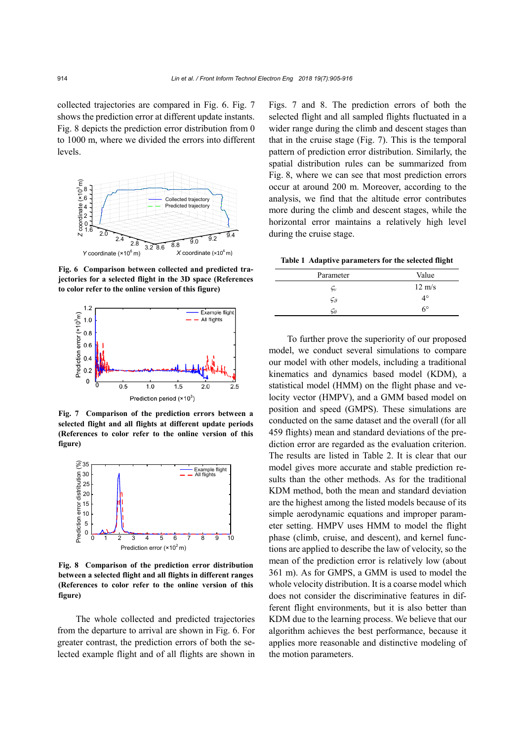collected trajectories are compared in Fig. 6. Fig. 7 shows the prediction error at different update instants. Fig. 8 depicts the prediction error distribution from 0 to 1000 m, where we divided the errors into different levels.



**Fig. 6 Comparison between collected and predicted trajectories for a selected flight in the 3D space (References to color refer to the online version of this figure)**



**Fig. 7 Comparison of the prediction errors between a selected flight and all flights at different update periods (References to color refer to the online version of this figure)**



**Fig. 8 Comparison of the prediction error distribution between a selected flight and all flights in different ranges (References to color refer to the online version of this figure)**

The whole collected and predicted trajectories from the departure to arrival are shown in Fig. 6. For greater contrast, the prediction errors of both the selected example flight and of all flights are shown in Figs. 7 and 8. The prediction errors of both the selected flight and all sampled flights fluctuated in a wider range during the climb and descent stages than that in the cruise stage (Fig. 7). This is the temporal pattern of prediction error distribution. Similarly, the spatial distribution rules can be summarized from Fig. 8, where we can see that most prediction errors occur at around 200 m. Moreover, according to the analysis, we find that the altitude error contributes more during the climb and descent stages, while the horizontal error maintains a relatively high level during the cruise stage.

**Table 1 Adaptive parameters for the selected flight**

| Parameter     | Value            |
|---------------|------------------|
| $\zeta_v$     | $12 \text{ m/s}$ |
| $\varsigma$ 9 | $4^{\circ}$      |
| Sθ            | $6^{\circ}$      |

To further prove the superiority of our proposed model, we conduct several simulations to compare our model with other models, including a traditional kinematics and dynamics based model (KDM), a statistical model (HMM) on the flight phase and velocity vector (HMPV), and a GMM based model on position and speed (GMPS). These simulations are conducted on the same dataset and the overall (for all 459 flights) mean and standard deviations of the prediction error are regarded as the evaluation criterion. The results are listed in Table 2. It is clear that our model gives more accurate and stable prediction results than the other methods. As for the traditional KDM method, both the mean and standard deviation are the highest among the listed models because of its simple aerodynamic equations and improper parameter setting. HMPV uses HMM to model the flight phase (climb, cruise, and descent), and kernel functions are applied to describe the law of velocity, so the mean of the prediction error is relatively low (about 361 m). As for GMPS, a GMM is used to model the whole velocity distribution. It is a coarse model which does not consider the discriminative features in different flight environments, but it is also better than KDM due to the learning process. We believe that our algorithm achieves the best performance, because it applies more reasonable and distinctive modeling of the motion parameters.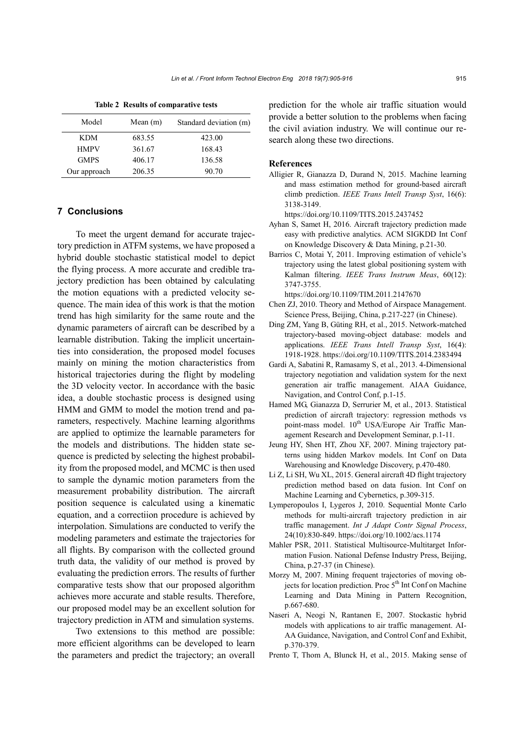Model Mean (m) Standard deviation (m) KDM 683.55 423.00 HMPV 361.67 168.43 GMPS 406.17 136.58 Our approach 206.35 90.70

**Table 2 Results of comparative tests**

# **7 Conclusions**

To meet the urgent demand for accurate trajectory prediction in ATFM systems, we have proposed a hybrid double stochastic statistical model to depict the flying process. A more accurate and credible trajectory prediction has been obtained by calculating the motion equations with a predicted velocity sequence. The main idea of this work is that the motion trend has high similarity for the same route and the dynamic parameters of aircraft can be described by a learnable distribution. Taking the implicit uncertainties into consideration, the proposed model focuses mainly on mining the motion characteristics from historical trajectories during the flight by modeling the 3D velocity vector. In accordance with the basic idea, a double stochastic process is designed using HMM and GMM to model the motion trend and parameters, respectively. Machine learning algorithms are applied to optimize the learnable parameters for the models and distributions. The hidden state sequence is predicted by selecting the highest probability from the proposed model, and MCMC is then used to sample the dynamic motion parameters from the measurement probability distribution. The aircraft position sequence is calculated using a kinematic equation, and a correctiion procedure is achieved by interpolation. Simulations are conducted to verify the modeling parameters and estimate the trajectories for all flights. By comparison with the collected ground truth data, the validity of our method is proved by evaluating the prediction errors. The results of further comparative tests show that our proposed algorithm achieves more accurate and stable results. Therefore, our proposed model may be an excellent solution for trajectory prediction in ATM and simulation systems.

Two extensions to this method are possible: more efficient algorithms can be developed to learn the parameters and predict the trajectory; an overall prediction for the whole air traffic situation would provide a better solution to the problems when facing the civil aviation industry. We will continue our research along these two directions.

#### **References**

Alligier R, Gianazza D, Durand N, 2015. Machine learning and mass estimation method for ground-based aircraft climb prediction. *IEEE Trans Intell Transp Syst*, 16(6): 3138-3149.

https://doi.org/10.1109/TITS.2015.2437452

- Ayhan S, Samet H, 2016. Aircraft trajectory prediction made easy with predictive analytics. ACM SIGKDD Int Conf on Knowledge Discovery & Data Mining, p.21-30.
- Barrios C, Motai Y, 2011. Improving estimation of vehicle's trajectory using the latest global positioning system with Kalman filtering. *IEEE Trans Instrum Meas*, 60(12): 3747-3755.

https://doi.org/10.1109/TIM.2011.2147670

- Chen ZJ, 2010. Theory and Method of Airspace Management. Science Press, Beijing, China, p.217-227 (in Chinese).
- Ding ZM, Yang B, Güting RH, et al., 2015. Network-matched trajectory-based moving-object database: models and applications. *IEEE Trans Intell Transp Syst*, 16(4): 1918-1928. https://doi.org/10.1109/TITS.2014.2383494
- Gardi A, Sabatini R, Ramasamy S, et al., 2013. 4-Dimensional trajectory negotiation and validation system for the next generation air traffic management. AIAA Guidance, Navigation, and Control Conf, p.1-15.
- Hamed MG, Gianazza D, Serrurier M, et al., 2013. Statistical prediction of aircraft trajectory: regression methods vs point-mass model. 10<sup>th</sup> USA/Europe Air Traffic Management Research and Development Seminar, p.1-11.
- Jeung HY, Shen HT, Zhou XF, 2007. Mining trajectory patterns using hidden Markov models. Int Conf on Data Warehousing and Knowledge Discovery, p.470-480.
- Li Z, Li SH, Wu XL, 2015. General aircraft 4D flight trajectory prediction method based on data fusion. Int Conf on Machine Learning and Cybernetics, p.309-315.
- Lymperopoulos I, Lygeros J, 2010. Sequential Monte Carlo methods for multi-aircraft trajectory prediction in air traffic management. *Int J Adapt Contr Signal Process*, 24(10):830-849. https://doi.org/10.1002/acs.1174
- Mahler PSR, 2011. Statistical Multisource-Multitarget Information Fusion. National Defense Industry Press, Beijing, China, p.27-37 (in Chinese).
- Morzy M, 2007. Mining frequent trajectories of moving objects for location prediction. Proc  $5<sup>th</sup>$  Int Conf on Machine Learning and Data Mining in Pattern Recognition, p.667-680.
- Naseri A, Neogi N, Rantanen E, 2007. Stockastic hybrid models with applications to air traffic management. AI-AA Guidance, Navigation, and Control Conf and Exhibit, p.370-379.
- Prento T, Thom A, Blunck H, et al., 2015. Making sense of